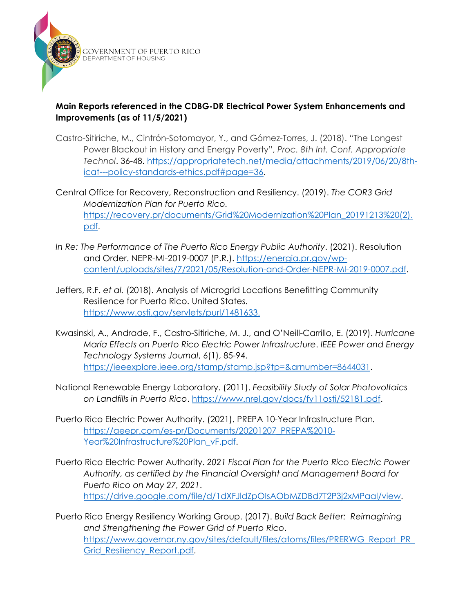

GOVERNMENT OF PUERTO RICO<br>department of housing

## **Main Reports referenced in the CDBG-DR Electrical Power System Enhancements and Improvements (as of 11/5/2021)**

- Castro-Sitiriche, M., Cintrón-Sotomayor, Y., and Gómez-Torres, J. (2018). "The Longest Power Blackout in History and Energy Poverty", *Proc. 8th Int. Conf. Appropriate Technol*. 36-48. [https://appropriatetech.net/media/attachments/2019/06/20/8th](https://appropriatetech.net/media/attachments/2019/06/20/8th-icat---policy-standards-ethics.pdf#page=36)[icat---policy-standards-ethics.pdf#page=36.](https://appropriatetech.net/media/attachments/2019/06/20/8th-icat---policy-standards-ethics.pdf#page=36)
- Central Office for Recovery, Reconstruction and Resiliency. (2019). *The COR3 Grid Modernization Plan for Puerto Rico.* [https://recovery.pr/documents/Grid%20Modernization%20Plan\\_20191213%20\(2\).](https://recovery.pr/documents/Grid%20Modernization%20Plan_20191213%20(2).pdf) [pdf.](https://recovery.pr/documents/Grid%20Modernization%20Plan_20191213%20(2).pdf)
- *In Re: The Performance of The Puerto Rico Energy Public Authority*. (2021). Resolution and Order. NEPR-MI-2019-0007 (P.R.). [https://energia.pr.gov/wp](https://energia.pr.gov/wp-content/uploads/sites/7/2021/05/Resolution-and-Order-NEPR-MI-2019-0007.pdf)[content/uploads/sites/7/2021/05/Resolution-and-Order-NEPR-MI-2019-0007.pdf.](https://energia.pr.gov/wp-content/uploads/sites/7/2021/05/Resolution-and-Order-NEPR-MI-2019-0007.pdf)
- Jeffers, R.F. *et al.* (2018). Analysis of Microgrid Locations Benefitting Community Resilience for Puerto Rico. United States. [https://www.osti.gov/servlets/purl/1481633.](https://www.osti.gov/servlets/purl/1481633)
- Kwasinski, A., Andrade, F., Castro-Sitiriche, M. J., and O'Neill-Carrillo, E. (2019). *Hurricane María Effects on Puerto Rico Electric Power Infrastructure*. *IEEE Power and Energy Technology Systems Journal*, 6(1), 85-94. [https://ieeexplore.ieee.org/stamp/stamp.jsp?tp=&arnumber=8644031.](https://ieeexplore.ieee.org/stamp/stamp.jsp?tp=&arnumber=8644031)
- National Renewable Energy Laboratory. (2011). *Feasibility Study of Solar Photovoltaics on Landfills in Puerto Rico*. [https://www.nrel.gov/docs/fy11osti/52181.pdf.](https://www.nrel.gov/docs/fy11osti/52181.pdf)
- Puerto Rico Electric Power Authority. (2021). PREPA 10-Year Infrastructure Plan*.* [https://aeepr.com/es-pr/Documents/20201207\\_PREPA%2010-](https://aeepr.com/es-pr/Documents/20201207_PREPA%2010-Year%20Infrastructure%20Plan_vF.pdf) [Year%20Infrastructure%20Plan\\_vF.pdf.](https://aeepr.com/es-pr/Documents/20201207_PREPA%2010-Year%20Infrastructure%20Plan_vF.pdf)
- Puerto Rico Electric Power Authority. *2021 Fiscal Plan for the Puerto Rico Electric Power Authority, as certified by the Financial Oversight and Management Board for Puerto Rico on May 27, 2021*. [https://drive.google.com/file/d/1dXFJldZpOIsAObMZDBd7T2P3j2xMPaal/view.](https://drive.google.com/file/d/1dXFJldZpOIsAObMZDBd7T2P3j2xMPaal/view)
- Puerto Rico Energy Resiliency Working Group. (2017). *Build Back Better: Reimagining and Strengthening the Power Grid of Puerto Rico*. [https://www.governor.ny.gov/sites/default/files/atoms/files/PRERWG\\_Report\\_PR\\_](https://www.governor.ny.gov/sites/default/files/atoms/files/PRERWG_Report_PR_Grid_Resiliency_Report.pdf) [Grid\\_Resiliency\\_Report.pdf.](https://www.governor.ny.gov/sites/default/files/atoms/files/PRERWG_Report_PR_Grid_Resiliency_Report.pdf)